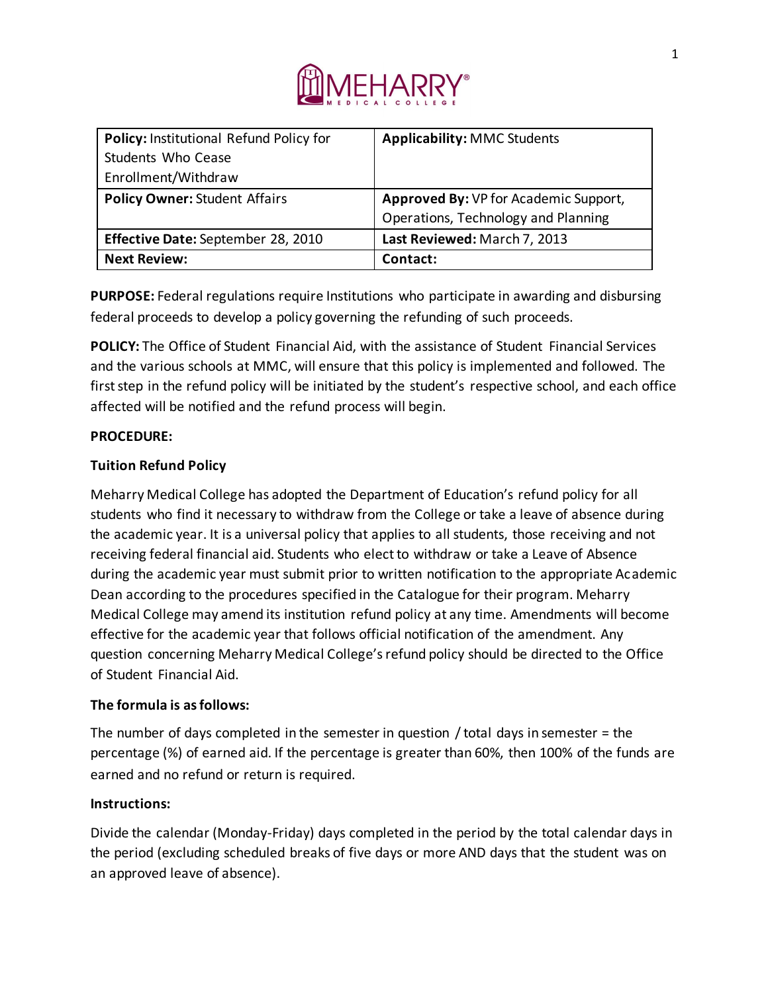

| Policy: Institutional Refund Policy for | <b>Applicability: MMC Students</b>    |
|-----------------------------------------|---------------------------------------|
| Students Who Cease                      |                                       |
| Enrollment/Withdraw                     |                                       |
| <b>Policy Owner: Student Affairs</b>    | Approved By: VP for Academic Support, |
|                                         | Operations, Technology and Planning   |
| Effective Date: September 28, 2010      | Last Reviewed: March 7, 2013          |
| <b>Next Review:</b>                     | Contact:                              |

**PURPOSE:** Federal regulations require Institutions who participate in awarding and disbursing federal proceeds to develop a policy governing the refunding of such proceeds.

**POLICY:** The Office of Student Financial Aid, with the assistance of Student Financial Services and the various schools at MMC, will ensure that this policy is implemented and followed. The first step in the refund policy will be initiated by the student's respective school, and each office affected will be notified and the refund process will begin.

### **PROCEDURE:**

### **Tuition Refund Policy**

Meharry Medical College has adopted the Department of Education's refund policy for all students who find it necessary to withdraw from the College or take a leave of absence during the academic year. It is a universal policy that applies to all students, those receiving and not receiving federal financial aid. Students who elect to withdraw or take a Leave of Absence during the academic year must submit prior to written notification to the appropriate Academic Dean according to the procedures specified in the Catalogue for their program. Meharry Medical College may amend its institution refund policy at any time. Amendments will become effective for the academic year that follows official notification of the amendment. Any question concerning Meharry Medical College's refund policy should be directed to the Office of Student Financial Aid.

### **The formula is as follows:**

The number of days completed in the semester in question / total days in semester = the percentage (%) of earned aid. If the percentage is greater than 60%, then 100% of the funds are earned and no refund or return is required.

#### **Instructions:**

Divide the calendar (Monday-Friday) days completed in the period by the total calendar days in the period (excluding scheduled breaks of five days or more AND days that the student was on an approved leave of absence).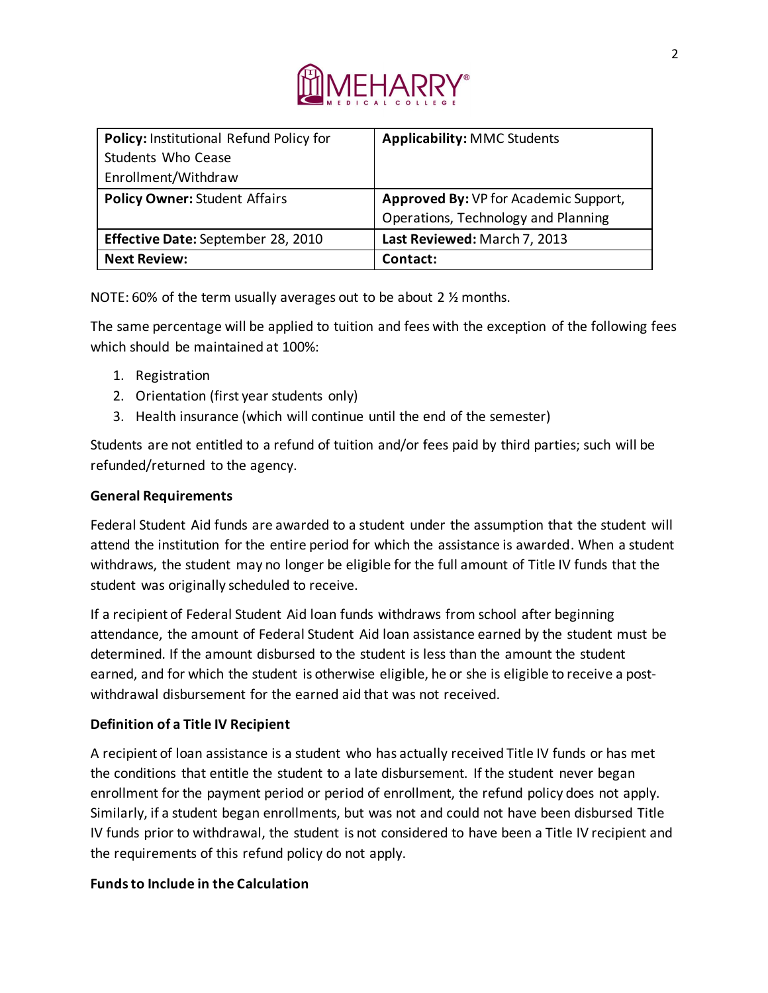

| Policy: Institutional Refund Policy for | <b>Applicability: MMC Students</b>    |
|-----------------------------------------|---------------------------------------|
| Students Who Cease                      |                                       |
| Enrollment/Withdraw                     |                                       |
| <b>Policy Owner: Student Affairs</b>    | Approved By: VP for Academic Support, |
|                                         | Operations, Technology and Planning   |
| Effective Date: September 28, 2010      | Last Reviewed: March 7, 2013          |
| <b>Next Review:</b>                     | Contact:                              |

NOTE: 60% of the term usually averages out to be about 2 ½ months.

The same percentage will be applied to tuition and fees with the exception of the following fees which should be maintained at 100%:

- 1. Registration
- 2. Orientation (first year students only)
- 3. Health insurance (which will continue until the end of the semester)

Students are not entitled to a refund of tuition and/or fees paid by third parties; such will be refunded/returned to the agency.

## **General Requirements**

Federal Student Aid funds are awarded to a student under the assumption that the student will attend the institution for the entire period for which the assistance is awarded. When a student withdraws, the student may no longer be eligible for the full amount of Title IV funds that the student was originally scheduled to receive.

If a recipient of Federal Student Aid loan funds withdraws from school after beginning attendance, the amount of Federal Student Aid loan assistance earned by the student must be determined. If the amount disbursed to the student is less than the amount the student earned, and for which the student is otherwise eligible, he or she is eligible to receive a postwithdrawal disbursement for the earned aid that was not received.

## **Definition of a Title IV Recipient**

A recipient of loan assistance is a student who has actually received Title IV funds or has met the conditions that entitle the student to a late disbursement. If the student never began enrollment for the payment period or period of enrollment, the refund policy does not apply. Similarly, if a student began enrollments, but was not and could not have been disbursed Title IV funds prior to withdrawal, the student is not considered to have been a Title IV recipient and the requirements of this refund policy do not apply.

## **Funds to Include in the Calculation**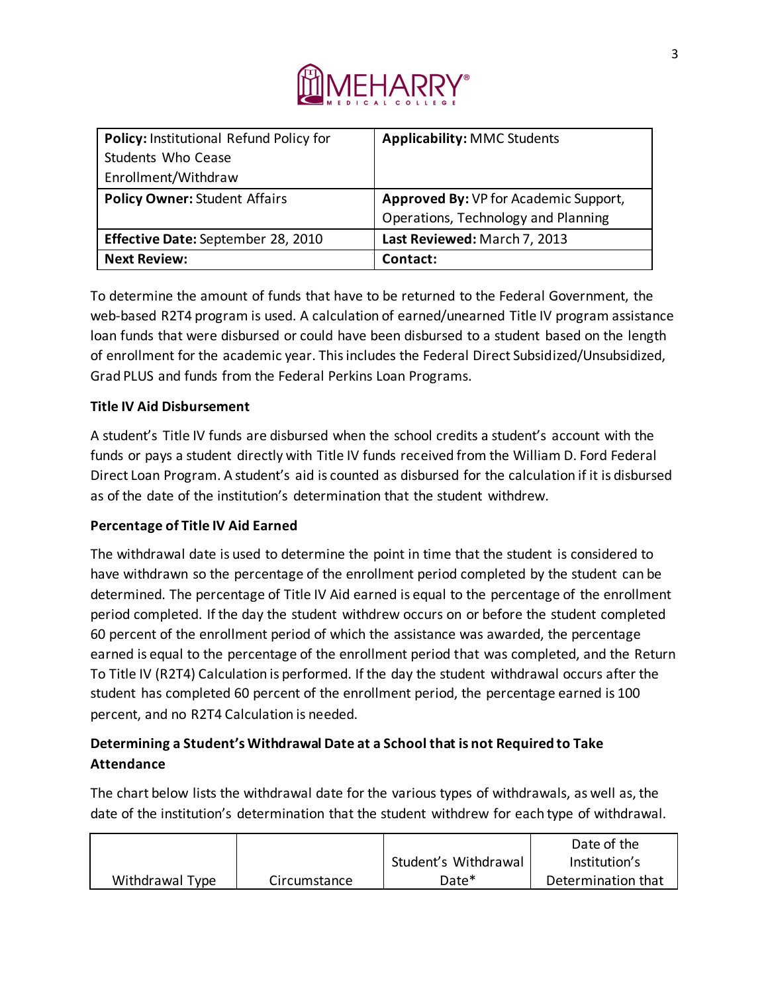

| Policy: Institutional Refund Policy for | <b>Applicability: MMC Students</b>    |
|-----------------------------------------|---------------------------------------|
| Students Who Cease                      |                                       |
| Enrollment/Withdraw                     |                                       |
| <b>Policy Owner: Student Affairs</b>    | Approved By: VP for Academic Support, |
|                                         | Operations, Technology and Planning   |
| Effective Date: September 28, 2010      | Last Reviewed: March 7, 2013          |
| <b>Next Review:</b>                     | Contact:                              |

To determine the amount of funds that have to be returned to the Federal Government, the web-based R2T4 program is used. A calculation of earned/unearned Title IV program assistance loan funds that were disbursed or could have been disbursed to a student based on the length of enrollment for the academic year. This includes the Federal Direct Subsidized/Unsubsidized, Grad PLUS and funds from the Federal Perkins Loan Programs.

## **Title IV Aid Disbursement**

A student's Title IV funds are disbursed when the school credits a student's account with the funds or pays a student directly with Title IV funds received from the William D. Ford Federal Direct Loan Program. A student's aid is counted as disbursed for the calculation if it is disbursed as of the date of the institution's determination that the student withdrew.

### **Percentage of Title IV Aid Earned**

The withdrawal date is used to determine the point in time that the student is considered to have withdrawn so the percentage of the enrollment period completed by the student can be determined. The percentage of Title IV Aid earned is equal to the percentage of the enrollment period completed. If the day the student withdrew occurs on or before the student completed 60 percent of the enrollment period of which the assistance was awarded, the percentage earned is equal to the percentage of the enrollment period that was completed, and the Return To Title IV (R2T4) Calculation is performed. If the day the student withdrawal occurs after the student has completed 60 percent of the enrollment period, the percentage earned is 100 percent, and no R2T4 Calculation is needed.

# **Determining a Student's Withdrawal Date at a School that is not Required to Take Attendance**

The chart below lists the withdrawal date for the various types of withdrawals, as well as, the date of the institution's determination that the student withdrew for each type of withdrawal.

|                 |              |                      | Date of the        |
|-----------------|--------------|----------------------|--------------------|
|                 |              | Student's Withdrawal | Institution's      |
| Withdrawal Type | Circumstance | Date*                | Determination that |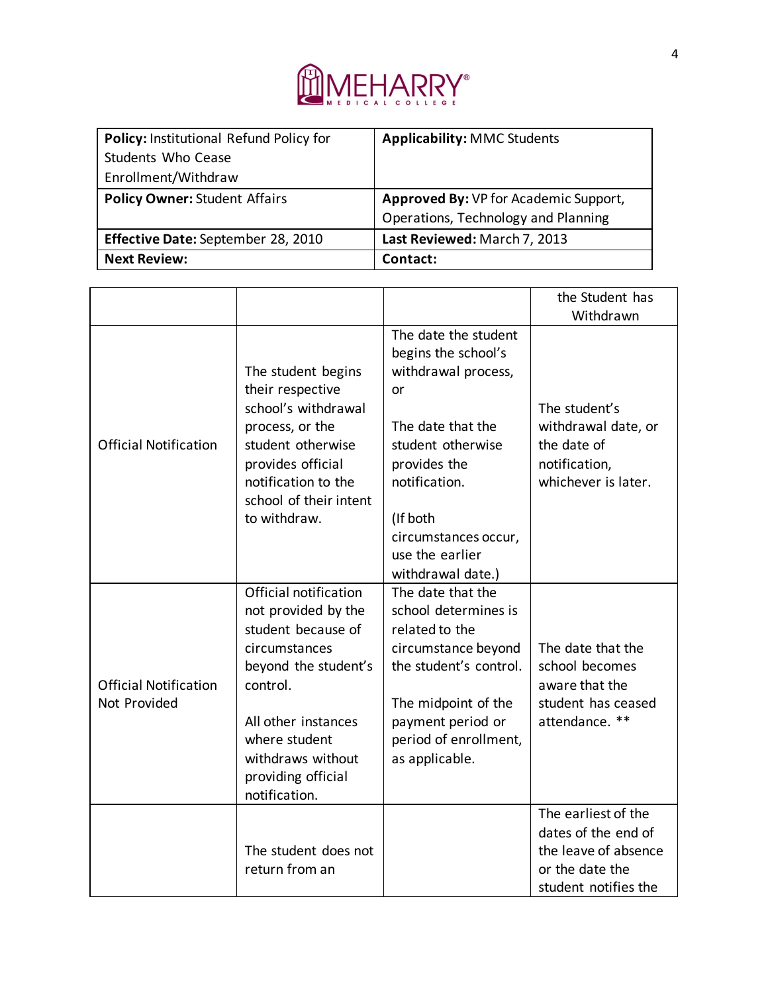

| Policy: Institutional Refund Policy for | <b>Applicability: MMC Students</b>    |
|-----------------------------------------|---------------------------------------|
| Students Who Cease                      |                                       |
| Enrollment/Withdraw                     |                                       |
| <b>Policy Owner: Student Affairs</b>    | Approved By: VP for Academic Support, |
|                                         | Operations, Technology and Planning   |
| Effective Date: September 28, 2010      | Last Reviewed: March 7, 2013          |
| <b>Next Review:</b>                     | Contact:                              |

|                                              |                                                                                                                                                                                                                             |                                                                                                                                                                                                                                 | the Student has<br>Withdrawn                                                                                  |
|----------------------------------------------|-----------------------------------------------------------------------------------------------------------------------------------------------------------------------------------------------------------------------------|---------------------------------------------------------------------------------------------------------------------------------------------------------------------------------------------------------------------------------|---------------------------------------------------------------------------------------------------------------|
| <b>Official Notification</b>                 | The student begins<br>their respective<br>school's withdrawal<br>process, or the<br>student otherwise<br>provides official<br>notification to the<br>school of their intent<br>to withdraw.                                 | The date the student<br>begins the school's<br>withdrawal process,<br>or<br>The date that the<br>student otherwise<br>provides the<br>notification.<br>(If both<br>circumstances occur,<br>use the earlier<br>withdrawal date.) | The student's<br>withdrawal date, or<br>the date of<br>notification,<br>whichever is later.                   |
| <b>Official Notification</b><br>Not Provided | Official notification<br>not provided by the<br>student because of<br>circumstances<br>beyond the student's<br>control.<br>All other instances<br>where student<br>withdraws without<br>providing official<br>notification. | The date that the<br>school determines is<br>related to the<br>circumstance beyond<br>the student's control.<br>The midpoint of the<br>payment period or<br>period of enrollment,<br>as applicable.                             | The date that the<br>school becomes<br>aware that the<br>student has ceased<br>attendance. **                 |
|                                              | The student does not<br>return from an                                                                                                                                                                                      |                                                                                                                                                                                                                                 | The earliest of the<br>dates of the end of<br>the leave of absence<br>or the date the<br>student notifies the |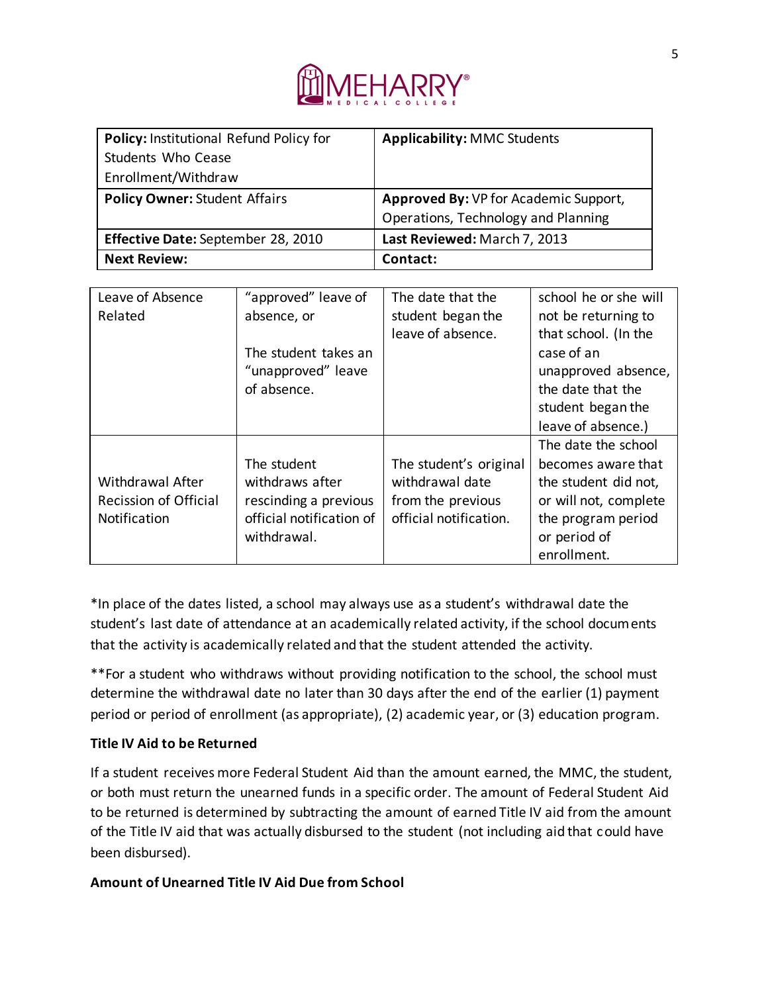

| Policy: Institutional Refund Policy for | <b>Applicability: MMC Students</b>    |
|-----------------------------------------|---------------------------------------|
| Students Who Cease                      |                                       |
| Enrollment/Withdraw                     |                                       |
| <b>Policy Owner: Student Affairs</b>    | Approved By: VP for Academic Support, |
|                                         | Operations, Technology and Planning   |
| Effective Date: September 28, 2010      | Last Reviewed: March 7, 2013          |
| <b>Next Review:</b>                     | Contact:                              |

| Leave of Absence             | "approved" leave of      | The date that the      | school he or she will |
|------------------------------|--------------------------|------------------------|-----------------------|
| Related                      | absence, or              | student began the      | not be returning to   |
|                              |                          | leave of absence.      | that school. (In the  |
|                              | The student takes an     |                        | case of an            |
|                              | "unapproved" leave       |                        | unapproved absence,   |
|                              | of absence.              |                        | the date that the     |
|                              |                          |                        | student began the     |
|                              |                          |                        | leave of absence.)    |
|                              |                          |                        | The date the school   |
|                              | The student              | The student's original | becomes aware that    |
| <b>Withdrawal After</b>      | withdraws after          | withdrawal date        | the student did not,  |
| <b>Recission of Official</b> | rescinding a previous    | from the previous      | or will not, complete |
| Notification                 | official notification of | official notification. | the program period    |
|                              | withdrawal.              |                        | or period of          |
|                              |                          |                        | enrollment.           |

\*In place of the dates listed, a school may always use as a student's withdrawal date the student's last date of attendance at an academically related activity, if the school documents that the activity is academically related and that the student attended the activity.

\*\*For a student who withdraws without providing notification to the school, the school must determine the withdrawal date no later than 30 days after the end of the earlier (1) payment period or period of enrollment (as appropriate), (2) academic year, or (3) education program.

## **Title IV Aid to be Returned**

If a student receives more Federal Student Aid than the amount earned, the MMC, the student, or both must return the unearned funds in a specific order. The amount of Federal Student Aid to be returned is determined by subtracting the amount of earned Title IV aid from the amount of the Title IV aid that was actually disbursed to the student (not including aid that could have been disbursed).

## **Amount of Unearned Title IV Aid Due from School**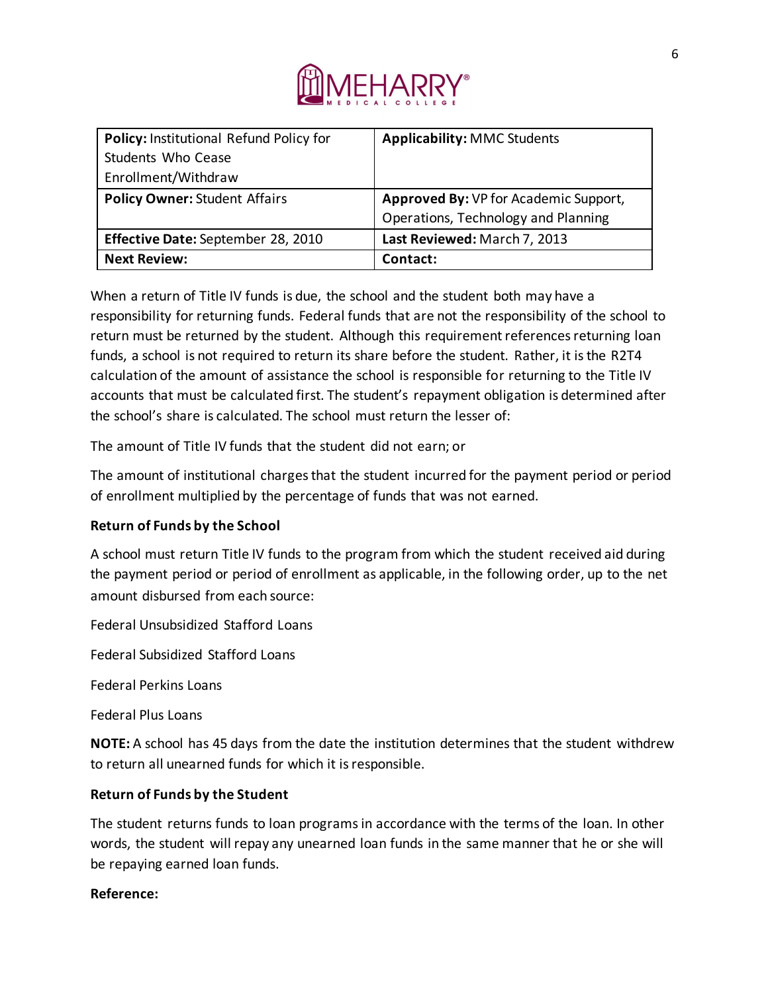

| Policy: Institutional Refund Policy for | <b>Applicability: MMC Students</b>    |
|-----------------------------------------|---------------------------------------|
| Students Who Cease                      |                                       |
| Enrollment/Withdraw                     |                                       |
| <b>Policy Owner: Student Affairs</b>    | Approved By: VP for Academic Support, |
|                                         | Operations, Technology and Planning   |
| Effective Date: September 28, 2010      | Last Reviewed: March 7, 2013          |
| <b>Next Review:</b>                     | Contact:                              |

When a return of Title IV funds is due, the school and the student both may have a responsibility for returning funds. Federal funds that are not the responsibility of the school to return must be returned by the student. Although this requirement references returning loan funds, a school is not required to return its share before the student. Rather, it is the R2T4 calculation of the amount of assistance the school is responsible for returning to the Title IV accounts that must be calculated first. The student's repayment obligation is determined after the school's share is calculated. The school must return the lesser of:

The amount of Title IV funds that the student did not earn; or

The amount of institutional charges that the student incurred for the payment period or period of enrollment multiplied by the percentage of funds that was not earned.

### **Return of Funds by the School**

A school must return Title IV funds to the program from which the student received aid during the payment period or period of enrollment as applicable, in the following order, up to the net amount disbursed from each source:

Federal Unsubsidized Stafford Loans

Federal Subsidized Stafford Loans

Federal Perkins Loans

Federal Plus Loans

**NOTE:** A school has 45 days from the date the institution determines that the student withdrew to return all unearned funds for which it is responsible.

### **Return of Funds by the Student**

The student returns funds to loan programs in accordance with the terms of the loan. In other words, the student will repay any unearned loan funds in the same manner that he or she will be repaying earned loan funds.

### **Reference:**